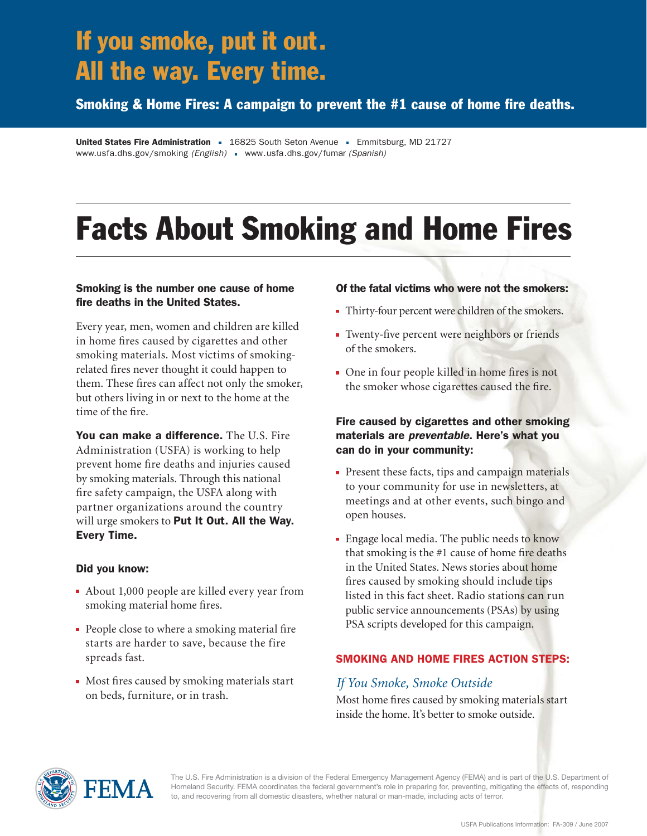# If you smoke, put it out. All the way. Every time.

Smoking & Home Fires: A campaign to prevent the  $#1$  cause of home fire deaths.

United States Fire Administration = 16825 South Seton Avenue = Emmitsburg, MD 21727 www.usfa.dhs.gov/smoking *(English)* www.usfa.dhs.gov/fumar *(Spanish)*

# Facts About Smoking and Home Fires

#### Smoking is the number one cause of home fire deaths in the United States.

Every year, men, women and children are killed in home fires caused by cigarettes and other smoking materials. Most victims of smokingrelated fires never thought it could happen to them. These fires can affect not only the smoker, but others living in or next to the home at the time of the fire.

You can make a difference. The U.S. Fire Administration (USFA) is working to help prevent home fire deaths and injuries caused by smoking materials. Through this national fire safety campaign, the USFA along with partner organizations around the country will urge smokers to Put It Out. All the Way. Every Time.

#### Did you know:

- About 1,000 people are killed every year from smoking material home fires.
- $\blacksquare$  People close to where a smoking material fire starts are harder to save, because the fire spreads fast.
- $\blacksquare$  Most fires caused by smoking materials start on beds, furniture, or in trash.

#### Of the fatal victims who were not the smokers:

- Thirty-four percent were children of the smokers.
- Twenty-five percent were neighbors or friends of the smokers.
- $\blacksquare$  One in four people killed in home fires is not the smoker whose cigarettes caused the fire.

#### Fire caused by cigarettes and other smoking materials are *preventable*. Here's what you can do in your community:

- Present these facts, tips and campaign materials to your community for use in newsletters, at meetings and at other events, such bingo and open houses.
- **Engage local media. The public needs to know** that smoking is the  $#1$  cause of home fire deaths in the United States. News stories about home fires caused by smoking should include tips listed in this fact sheet. Radio stations can run public service announcements (PSAs) by using PSA scripts developed for this campaign.

#### SMOKING AND HOME FIRES ACTION STEPS:

#### *If You Smoke, Smoke Outside*

Most home fires caused by smoking materials start inside the home. It's better to smoke outside.



The U.S. Fire Administration is a division of the Federal Emergency Management Agency (FEMA) and is part of the U.S. Department of Homeland Security. FEMA coordinates the federal government's role in preparing for, preventing, mitigating the effects of, responding to, and recovering from all domestic disasters, whether natural or man-made, including acts of terror.